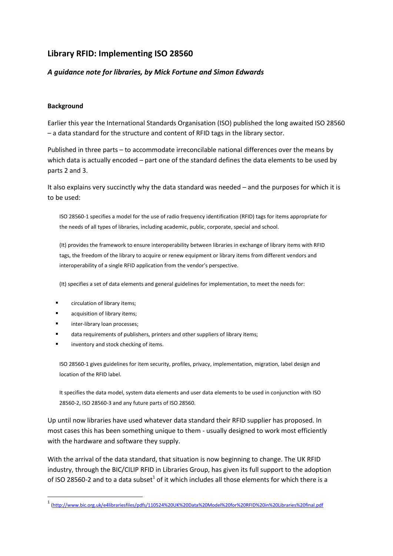# **Library RFID: Implementing ISO 28560**

## *A guidance note for libraries, by Mick Fortune and Simon Edwards*

### **Background**

Earlier this year the International Standards Organisation (ISO) published the long awaited ISO 28560 – a data standard for the structure and content of RFID tags in the library sector.

Published in three parts – to accommodate irreconcilable national differences over the means by which data is actually encoded – part one of the standard defines the data elements to be used by parts 2 and 3.

It also explains very succinctly why the data standard was needed – and the purposes for which it is to be used:

ISO 28560-1 specifies a model for the use of radio frequency identification (RFID) tags for items appropriate for the needs of all types of libraries, including academic, public, corporate, special and school.

(It) provides the framework to ensure interoperability between libraries in exchange of library items with RFID tags, the freedom of the library to acquire or renew equipment or library items from different vendors and interoperability of a single RFID application from the vendor's perspective.

(It) specifies a set of data elements and general guidelines for implementation, to meet the needs for:

- circulation of library items;
- acquisition of library items;
- inter-library loan processes;

**.** 

- data requirements of publishers, printers and other suppliers of library items;
- inventory and stock checking of items.

ISO 28560-1 gives guidelines for item security, profiles, privacy, implementation, migration, label design and location of the RFID label.

It specifies the data model, system data elements and user data elements to be used in conjunction with ISO 28560-2, ISO 28560-3 and any future parts of ISO 28560.

Up until now libraries have used whatever data standard their RFID supplier has proposed. In most cases this has been something unique to them - usually designed to work most efficiently with the hardware and software they supply.

With the arrival of the data standard, that situation is now beginning to change. The UK RFID industry, through the BIC/CILIP RFID in Libraries Group, has given its full support to the adoption of ISO 28560-2 and to a data subset<sup>1</sup> of it which includes all those elements for which there is a

<sup>1</sup> [\(http://www.bic.org.uk/e4librariesfiles/pdfs/110524%20UK%20Data%20Model%20for%20RFID%20in%20Libraries%20final.pdf](http://www.bic.org.uk/e4librariesfiles/pdfs/110524%20UK%20Data%20Model%20for%20RFID%20in%20Libraries%20final.pdf)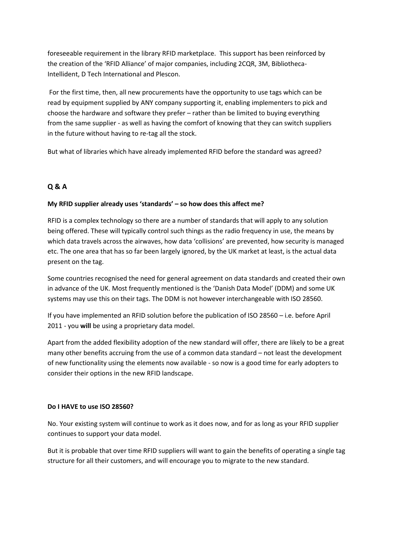foreseeable requirement in the library RFID marketplace. This support has been reinforced by the creation of the 'RFID Alliance' of major companies, including 2CQR, 3M, Bibliotheca-Intellident, D Tech International and Plescon.

For the first time, then, all new procurements have the opportunity to use tags which can be read by equipment supplied by ANY company supporting it, enabling implementers to pick and choose the hardware and software they prefer – rather than be limited to buying everything from the same supplier - as well as having the comfort of knowing that they can switch suppliers in the future without having to re-tag all the stock.

But what of libraries which have already implemented RFID before the standard was agreed?

## **Q & A**

## **My RFID supplier already uses 'standards' – so how does this affect me?**

RFID is a complex technology so there are a number of standards that will apply to any solution being offered. These will typically control such things as the radio frequency in use, the means by which data travels across the airwaves, how data 'collisions' are prevented, how security is managed etc. The one area that has so far been largely ignored, by the UK market at least, is the actual data present on the tag.

Some countries recognised the need for general agreement on data standards and created their own in advance of the UK. Most frequently mentioned is the 'Danish Data Model' (DDM) and some UK systems may use this on their tags. The DDM is not however interchangeable with ISO 28560.

If you have implemented an RFID solution before the publication of ISO 28560 – i.e. before April 2011 - you **will** be using a proprietary data model.

Apart from the added flexibility adoption of the new standard will offer, there are likely to be a great many other benefits accruing from the use of a common data standard – not least the development of new functionality using the elements now available - so now is a good time for early adopters to consider their options in the new RFID landscape.

#### **Do I HAVE to use ISO 28560?**

No. Your existing system will continue to work as it does now, and for as long as your RFID supplier continues to support your data model.

But it is probable that over time RFID suppliers will want to gain the benefits of operating a single tag structure for all their customers, and will encourage you to migrate to the new standard.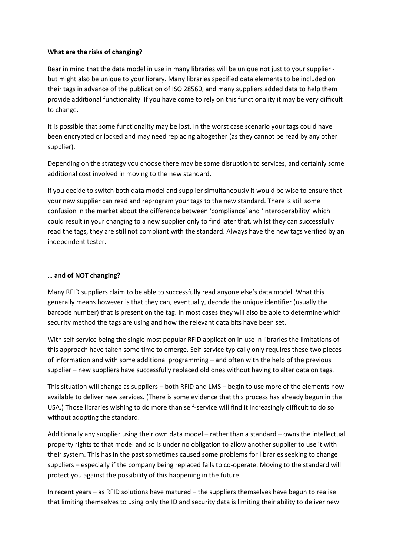#### **What are the risks of changing?**

Bear in mind that the data model in use in many libraries will be unique not just to your supplier but might also be unique to your library. Many libraries specified data elements to be included on their tags in advance of the publication of ISO 28560, and many suppliers added data to help them provide additional functionality. If you have come to rely on this functionality it may be very difficult to change.

It is possible that some functionality may be lost. In the worst case scenario your tags could have been encrypted or locked and may need replacing altogether (as they cannot be read by any other supplier).

Depending on the strategy you choose there may be some disruption to services, and certainly some additional cost involved in moving to the new standard.

If you decide to switch both data model and supplier simultaneously it would be wise to ensure that your new supplier can read and reprogram your tags to the new standard. There is still some confusion in the market about the difference between 'compliance' and 'interoperability' which could result in your changing to a new supplier only to find later that, whilst they can successfully read the tags, they are still not compliant with the standard. Always have the new tags verified by an independent tester.

#### **… and of NOT changing?**

Many RFID suppliers claim to be able to successfully read anyone else's data model. What this generally means however is that they can, eventually, decode the unique identifier (usually the barcode number) that is present on the tag. In most cases they will also be able to determine which security method the tags are using and how the relevant data bits have been set.

With self-service being the single most popular RFID application in use in libraries the limitations of this approach have taken some time to emerge. Self-service typically only requires these two pieces of information and with some additional programming – and often with the help of the previous supplier – new suppliers have successfully replaced old ones without having to alter data on tags.

This situation will change as suppliers – both RFID and LMS – begin to use more of the elements now available to deliver new services. (There is some evidence that this process has already begun in the USA.) Those libraries wishing to do more than self-service will find it increasingly difficult to do so without adopting the standard.

Additionally any supplier using their own data model – rather than a standard – owns the intellectual property rights to that model and so is under no obligation to allow another supplier to use it with their system. This has in the past sometimes caused some problems for libraries seeking to change suppliers – especially if the company being replaced fails to co-operate. Moving to the standard will protect you against the possibility of this happening in the future.

In recent years – as RFID solutions have matured – the suppliers themselves have begun to realise that limiting themselves to using only the ID and security data is limiting their ability to deliver new